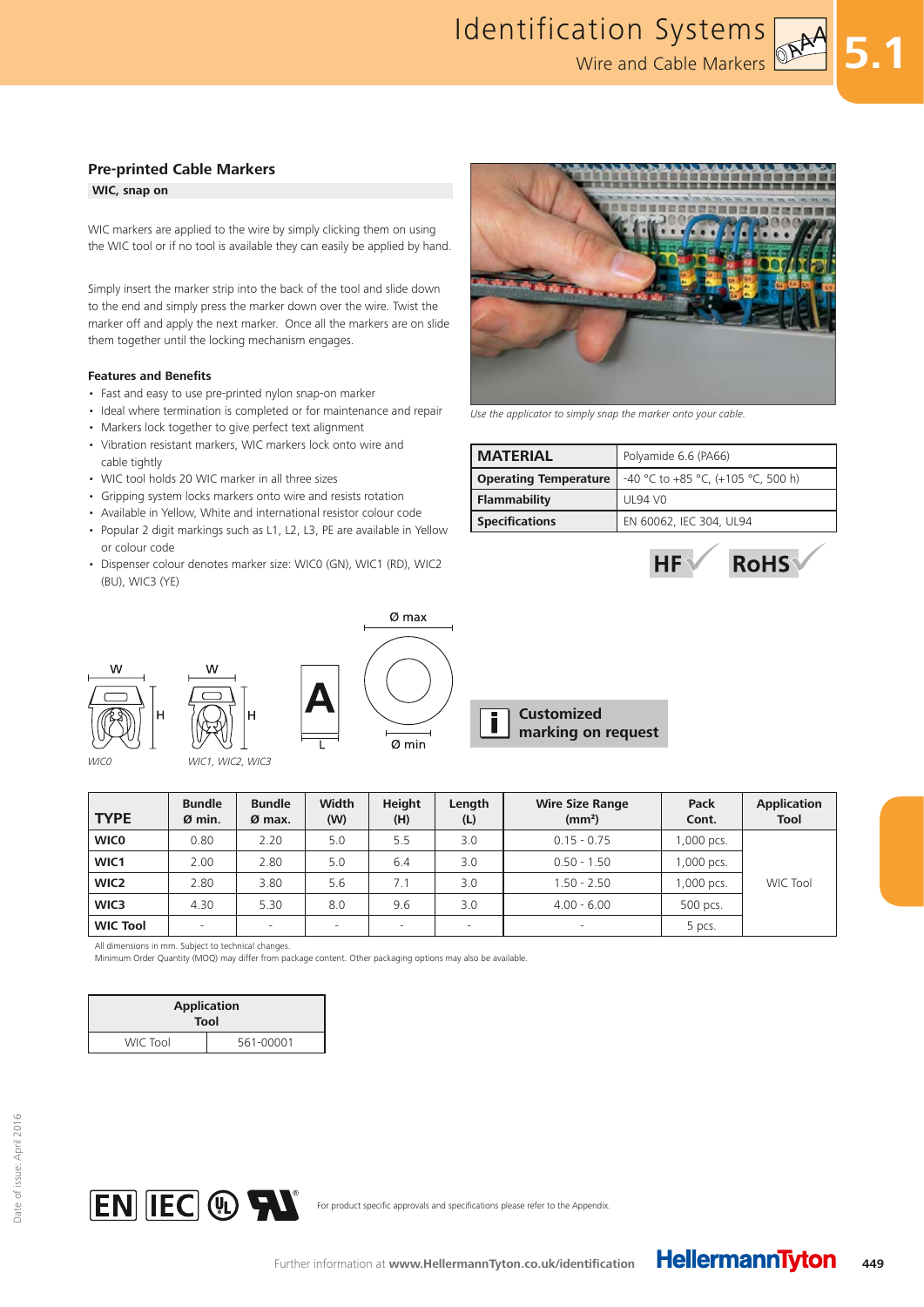#### **WIC, snap on**

WIC markers are applied to the wire by simply clicking them on using the WIC tool or if no tool is available they can easily be applied by hand.

Simply insert the marker strip into the back of the tool and slide down to the end and simply press the marker down over the wire. Twist the marker off and apply the next marker. Once all the markers are on slide them together until the locking mechanism engages.

#### **Features and Benefits**

- Fast and easy to use pre-printed nylon snap-on marker
- Ideal where termination is completed or for maintenance and repair
- Markers lock together to give perfect text alignment
- Vibration resistant markers, WIC markers lock onto wire and cable tightly
- WIC tool holds 20 WIC marker in all three sizes
- Gripping system locks markers onto wire and resists rotation
- Available in Yellow, White and international resistor colour code
- Popular 2 digit markings such as L1, L2, L3, PE are available in Yellow or colour code
- Dispenser colour denotes marker size: WIC0 (GN), WIC1 (RD), WIC2 (BU), WIC3 (YE)





WIC1, WIC2, WIC3



**Customized**  Ī **marking on request**

| <b>TYPE</b>      | <b>Bundle</b><br>Ø min. | <b>Bundle</b><br>$Ø$ max. | Width<br>(W) | <b>Height</b><br>(H)     | Length<br>(L) | <b>Wire Size Range</b><br>(mm <sup>2</sup> ) | Pack<br>Cont. | <b>Application</b><br>Tool |
|------------------|-------------------------|---------------------------|--------------|--------------------------|---------------|----------------------------------------------|---------------|----------------------------|
| <b>WICO</b>      | 0.80                    | 2.20                      | 5.0          | 5.5                      | 3.0           | $0.15 - 0.75$                                | 1,000 pcs.    |                            |
| WIC1             | 2.00                    | 2.80                      | 5.0          | 6.4                      | 3.0           | $0.50 - 1.50$                                | 1,000 pcs.    |                            |
| WIC <sub>2</sub> | 2.80                    | 3.80                      | 5.6          | 7.1                      | 3.0           | $1.50 - 2.50$                                | 1,000 pcs.    | WIC Tool                   |
| WIC3             | 4.30                    | 5.30                      | 8.0          | 9.6                      | 3.0           | $4.00 - 6.00$                                | 500 pcs.      |                            |
| <b>WIC Tool</b>  | $\equiv$                |                           |              | $\overline{\phantom{a}}$ |               |                                              | 5 pcs.        |                            |

All dimensions in mm. Subject to technical changes.

Minimum Order Quantity (MOQ) may differ from package content. Other packaging options may also be available.

| <b>Application</b><br><b>Tool</b> |           |  |  |  |
|-----------------------------------|-----------|--|--|--|
| WIC Tool                          | 561-00001 |  |  |  |





Use the applicator to simply snap the marker onto your cable.

| <b>MATERIAL</b>              | Polyamide 6.6 (PA66)               |
|------------------------------|------------------------------------|
| <b>Operating Temperature</b> | -40 °C to +85 °C, (+105 °C, 500 h) |
| Flammability                 | UL94 VO                            |
| <b>Specifications</b>        | EN 60062, IEC 304, UL94            |



**5.1**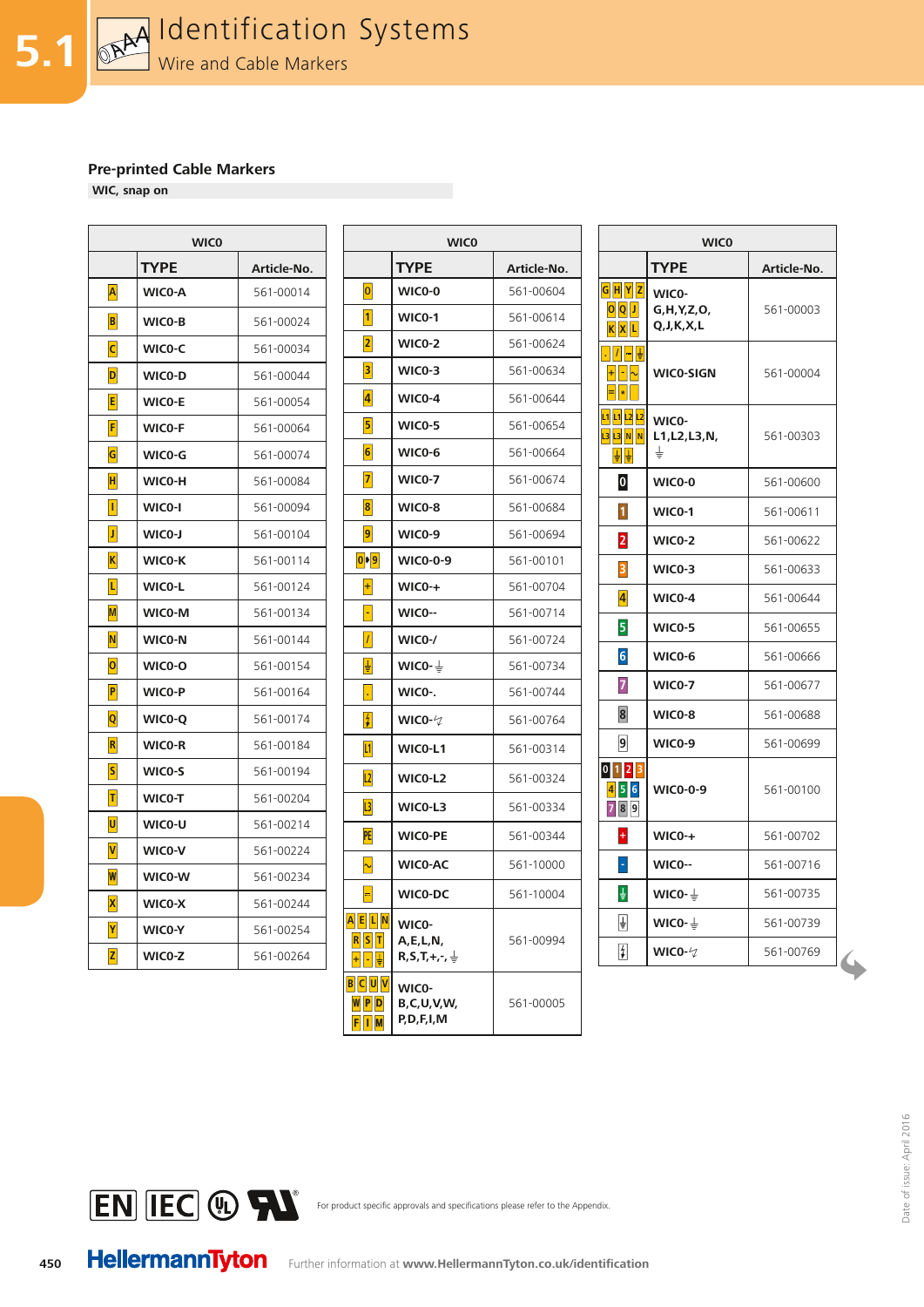**WIC, snap on**

| <b>TYPE</b><br>Article-No.<br>$\overline{\mathsf{A}}$<br>WICO-A<br>561-00014<br>$\vert \mathbf{B} \vert$<br>561-00024<br>WICO-B<br>$\mathsf{C}$<br>561-00034<br>WIC0-C<br>D<br>561-00044<br>WICO-D<br>E<br>561-00054<br><b>WICO-E</b><br> F <br>WICO-F<br>561-00064<br>G<br>561-00074<br>WIC0-G<br>н<br>WICO-H<br>561-00084<br>$\vert \vert$<br>WICO-I<br>561-00094<br>$\vert \mathbf{J} \vert$<br>561-00104<br>WICO-J<br>$\vert K \vert$<br>WICO-K<br>561-00114<br>$\overline{\mathsf{L}}$<br>561-00124<br>WICO-L<br>$\mathsf{M}$<br>WIC0-M<br>561-00134<br>$\overline{\mathsf{N}}$<br>WICO-N<br>561-00144<br> 0 <br>561-00154<br>WICO-O<br>$\overline{\mathsf{P}}$<br>WICO-P<br>561-00164<br>$ {\bf Q} $<br>561-00174<br>WICO-Q<br>R<br>WICO-R<br>561-00184<br>$ \mathsf{s} $<br>WICO-S<br>561-00194<br>T<br>WICO-T<br>561-00204<br>U<br>WICO-U<br>561-00214<br>V<br>WICO-V<br>561-00224<br>$\overline{\mathsf{w}}$<br>561-00234<br>WICO-W<br>$\vert \mathsf{x} \vert$<br>561-00244<br>WICO-X<br>Y<br>WIC0-Y<br>561-00254<br> Z <br>WICO-Z<br>561-00264 | <b>WICO</b> |  |  |  |  |  |
|-----------------------------------------------------------------------------------------------------------------------------------------------------------------------------------------------------------------------------------------------------------------------------------------------------------------------------------------------------------------------------------------------------------------------------------------------------------------------------------------------------------------------------------------------------------------------------------------------------------------------------------------------------------------------------------------------------------------------------------------------------------------------------------------------------------------------------------------------------------------------------------------------------------------------------------------------------------------------------------------------------------------------------------------------------------|-------------|--|--|--|--|--|
|                                                                                                                                                                                                                                                                                                                                                                                                                                                                                                                                                                                                                                                                                                                                                                                                                                                                                                                                                                                                                                                           |             |  |  |  |  |  |
|                                                                                                                                                                                                                                                                                                                                                                                                                                                                                                                                                                                                                                                                                                                                                                                                                                                                                                                                                                                                                                                           |             |  |  |  |  |  |
|                                                                                                                                                                                                                                                                                                                                                                                                                                                                                                                                                                                                                                                                                                                                                                                                                                                                                                                                                                                                                                                           |             |  |  |  |  |  |
|                                                                                                                                                                                                                                                                                                                                                                                                                                                                                                                                                                                                                                                                                                                                                                                                                                                                                                                                                                                                                                                           |             |  |  |  |  |  |
|                                                                                                                                                                                                                                                                                                                                                                                                                                                                                                                                                                                                                                                                                                                                                                                                                                                                                                                                                                                                                                                           |             |  |  |  |  |  |
|                                                                                                                                                                                                                                                                                                                                                                                                                                                                                                                                                                                                                                                                                                                                                                                                                                                                                                                                                                                                                                                           |             |  |  |  |  |  |
|                                                                                                                                                                                                                                                                                                                                                                                                                                                                                                                                                                                                                                                                                                                                                                                                                                                                                                                                                                                                                                                           |             |  |  |  |  |  |
|                                                                                                                                                                                                                                                                                                                                                                                                                                                                                                                                                                                                                                                                                                                                                                                                                                                                                                                                                                                                                                                           |             |  |  |  |  |  |
|                                                                                                                                                                                                                                                                                                                                                                                                                                                                                                                                                                                                                                                                                                                                                                                                                                                                                                                                                                                                                                                           |             |  |  |  |  |  |
|                                                                                                                                                                                                                                                                                                                                                                                                                                                                                                                                                                                                                                                                                                                                                                                                                                                                                                                                                                                                                                                           |             |  |  |  |  |  |
|                                                                                                                                                                                                                                                                                                                                                                                                                                                                                                                                                                                                                                                                                                                                                                                                                                                                                                                                                                                                                                                           |             |  |  |  |  |  |
|                                                                                                                                                                                                                                                                                                                                                                                                                                                                                                                                                                                                                                                                                                                                                                                                                                                                                                                                                                                                                                                           |             |  |  |  |  |  |
|                                                                                                                                                                                                                                                                                                                                                                                                                                                                                                                                                                                                                                                                                                                                                                                                                                                                                                                                                                                                                                                           |             |  |  |  |  |  |
|                                                                                                                                                                                                                                                                                                                                                                                                                                                                                                                                                                                                                                                                                                                                                                                                                                                                                                                                                                                                                                                           |             |  |  |  |  |  |
|                                                                                                                                                                                                                                                                                                                                                                                                                                                                                                                                                                                                                                                                                                                                                                                                                                                                                                                                                                                                                                                           |             |  |  |  |  |  |
|                                                                                                                                                                                                                                                                                                                                                                                                                                                                                                                                                                                                                                                                                                                                                                                                                                                                                                                                                                                                                                                           |             |  |  |  |  |  |
|                                                                                                                                                                                                                                                                                                                                                                                                                                                                                                                                                                                                                                                                                                                                                                                                                                                                                                                                                                                                                                                           |             |  |  |  |  |  |
|                                                                                                                                                                                                                                                                                                                                                                                                                                                                                                                                                                                                                                                                                                                                                                                                                                                                                                                                                                                                                                                           |             |  |  |  |  |  |
|                                                                                                                                                                                                                                                                                                                                                                                                                                                                                                                                                                                                                                                                                                                                                                                                                                                                                                                                                                                                                                                           |             |  |  |  |  |  |
|                                                                                                                                                                                                                                                                                                                                                                                                                                                                                                                                                                                                                                                                                                                                                                                                                                                                                                                                                                                                                                                           |             |  |  |  |  |  |
|                                                                                                                                                                                                                                                                                                                                                                                                                                                                                                                                                                                                                                                                                                                                                                                                                                                                                                                                                                                                                                                           |             |  |  |  |  |  |
|                                                                                                                                                                                                                                                                                                                                                                                                                                                                                                                                                                                                                                                                                                                                                                                                                                                                                                                                                                                                                                                           |             |  |  |  |  |  |
|                                                                                                                                                                                                                                                                                                                                                                                                                                                                                                                                                                                                                                                                                                                                                                                                                                                                                                                                                                                                                                                           |             |  |  |  |  |  |
|                                                                                                                                                                                                                                                                                                                                                                                                                                                                                                                                                                                                                                                                                                                                                                                                                                                                                                                                                                                                                                                           |             |  |  |  |  |  |
|                                                                                                                                                                                                                                                                                                                                                                                                                                                                                                                                                                                                                                                                                                                                                                                                                                                                                                                                                                                                                                                           |             |  |  |  |  |  |
|                                                                                                                                                                                                                                                                                                                                                                                                                                                                                                                                                                                                                                                                                                                                                                                                                                                                                                                                                                                                                                                           |             |  |  |  |  |  |
|                                                                                                                                                                                                                                                                                                                                                                                                                                                                                                                                                                                                                                                                                                                                                                                                                                                                                                                                                                                                                                                           |             |  |  |  |  |  |

| <b>WICO</b> |             |                                   | <b>WICO</b>                                 |             |                                                  | <b>WICO</b>                     |             |  |
|-------------|-------------|-----------------------------------|---------------------------------------------|-------------|--------------------------------------------------|---------------------------------|-------------|--|
| TYPE        | Article-No. |                                   | <b>TYPE</b>                                 | Article-No. |                                                  | <b>TYPE</b>                     | Article-No. |  |
| WICO-A      | 561-00014   | 0                                 | WICO-0                                      | 561-00604   | G H Y Z                                          | WICO-                           |             |  |
| WICO-B      | 561-00024   | $\vert$ 1 $\vert$                 | <b>WICO-1</b>                               | 561-00614   | $Q$ <sub><math>Q</math></sub> $J$<br>$K$ $X$ $L$ | G, H, Y, Z, O,<br>Q, J, K, X, L | 561-00003   |  |
| WICO-C      | 561-00034   | $\overline{2}$                    | <b>WICO-2</b>                               | 561-00624   | .   /   <del>--</del>   <del>↓</del>             |                                 |             |  |
| WICO-D      | 561-00044   | $\overline{\mathbf{3}}$           | WICO-3                                      | 561-00634   | $+$ $\sim$                                       | <b>WICO-SIGN</b>                | 561-00004   |  |
| WICO-E      | 561-00054   | $\vert 4 \vert$                   | WIC0-4                                      | 561-00644   | $\vert\blacksquare\vert\blacksquare$             |                                 |             |  |
| WICO-F      | 561-00064   | $\overline{\mathbf{5}}$           | <b>WICO-5</b>                               | 561-00654   | L1 L1 L2 L2<br>13 13 N N                         | WICO-<br>L1, L2, L3, N,         | 561-00303   |  |
| WICO-G      | 561-00074   | $\vert 6 \vert$                   | WICO-6                                      | 561-00664   | 빌빌                                               | ₹                               |             |  |
| WICO-H      | 561-00084   | $\overline{7}$                    | <b>WICO-7</b>                               | 561-00674   | $\boldsymbol{0}$                                 | WICO-0                          | 561-00600   |  |
| WICO-I      | 561-00094   | $\vert 8 \vert$                   | WICO-8                                      | 561-00684   | $\overline{\mathbf{1}}$                          | <b>WICO-1</b>                   | 561-00611   |  |
| WICO-J      | 561-00104   | 9                                 | <b>WIC0-9</b>                               | 561-00694   | $\overline{2}$                                   | <b>WICO-2</b>                   | 561-00622   |  |
| WICO-K      | 561-00114   | $ 0 $ $ 9 $                       | <b>WICO-0-9</b>                             | 561-00101   | $\overline{\mathbf{3}}$                          | <b>WICO-3</b>                   | 561-00633   |  |
| WICO-L      | 561-00124   | $\left  + \right $                | $WICO-+$                                    | 561-00704   | $\overline{\mathbf{4}}$                          | <b>WIC0-4</b>                   | 561-00644   |  |
| WICO-M      | 561-00134   | H                                 | WICO--                                      | 561-00714   |                                                  |                                 |             |  |
| WICO-N      | 561-00144   | $\vert I \vert$                   | WICO-/                                      | 561-00724   | 5                                                | <b>WICO-5</b>                   | 561-00655   |  |
| WICO-O      | 561-00154   | ₽                                 | WICO- $\frac{1}{2}$                         | 561-00734   | $6\overline{6}$                                  | WICO-6                          | 561-00666   |  |
| WICO-P      | 561-00164   | ×                                 | WICO-.                                      | 561-00744   | $\overline{z}$                                   | <b>WICO-7</b>                   | 561-00677   |  |
| WICO-Q      | 561-00174   | 4                                 | WICO- $\varphi$                             | 561-00764   | $\overline{\mathbf{8}}$                          | WIC0-8                          | 561-00688   |  |
| WICO-R      | 561-00184   | 11                                | WICO-L1                                     | 561-00314   | 9                                                | <b>WIC0-9</b>                   | 561-00699   |  |
| WICO-S      | 561-00194   | 2                                 | WICO-L <sub>2</sub>                         | 561-00324   | $0$ 1 2 3                                        |                                 |             |  |
| WICO-T      | 561-00204   | $\overline{L3}$                   | WICO-L3                                     | 561-00334   | 456<br>789                                       | <b>WICO-0-9</b>                 | 561-00100   |  |
| WICO-U      | 561-00214   | PE                                | <b>WICO-PE</b>                              | 561-00344   | Ŧ                                                | $WICO+$                         | 561-00702   |  |
| WICO-V      | 561-00224   | $\sim$                            | WIC0-AC                                     | 561-10000   | $\overline{\phantom{a}}$                         | WICO--                          | 561-00716   |  |
| WICO-W      | 561-00234   |                                   |                                             |             |                                                  |                                 |             |  |
| WICO-X      | 561-00244   | $\blacksquare$                    | WICO-DC                                     | 561-10004   | $\frac{1}{\pi}$                                  | WICO- $\pm$                     | 561-00735   |  |
| WICO-Y      | 561-00254   | A E L N<br>$R$ $S$ $T$            | WICO-<br>A, E, L, N,                        | 561-00994   | ₽                                                | WIC0- $\frac{1}{2}$             | 561-00739   |  |
| WICO-Z      | 561-00264   |                                   | $R, S, T, +, \neg, \exists$                 |             | $\frac{4}{7}$                                    | WICO- $\varphi$                 | 561-00769   |  |
|             |             | <b>BCUV</b><br>$W$ $P$ $D$<br>FIM | WICO-<br><b>B,C,U,V,W,</b><br>P, D, F, I, M | 561-00005   |                                                  |                                 |             |  |

|                                                       | <b>WICO</b>                              |             |  |  |  |  |  |
|-------------------------------------------------------|------------------------------------------|-------------|--|--|--|--|--|
|                                                       | <b>TYPE</b>                              | Article-No. |  |  |  |  |  |
| G H Y Z<br> 0 <br>J<br>KXL                            | WICO-<br>G, H, Y, Z, O,<br>Q, J, K, X, L | 561-00003   |  |  |  |  |  |
|                                                       | WICO-SIGN                                | 561-00004   |  |  |  |  |  |
| L2<br>$\overline{\mathbf{3}}$<br><b>N</b><br><b>N</b> | WICO-<br>L1, L2, L3, N,<br>₹             | 561-00303   |  |  |  |  |  |
| $\bf{0}$                                              | WIC0-0                                   | 561-00600   |  |  |  |  |  |
| $\mathbf{1}$                                          | WICO-1                                   | 561-00611   |  |  |  |  |  |
| $\overline{2}$                                        | <b>WICO-2</b>                            | 561-00622   |  |  |  |  |  |
| $\overline{\mathbf{3}}$                               | WICO-3                                   | 561-00633   |  |  |  |  |  |
| $\vert 4 \vert$                                       | $WICO-4$                                 | 561-00644   |  |  |  |  |  |
| 5                                                     | <b>WICO-5</b>                            | 561-00655   |  |  |  |  |  |
| $6\overline{6}$                                       | WICO-6                                   | 561-00666   |  |  |  |  |  |
| $\overline{z}$                                        | WIC0-7                                   | 561-00677   |  |  |  |  |  |
| $\bf{8}$                                              | WIC0-8                                   | 561-00688   |  |  |  |  |  |
| 9                                                     | <b>WIC0-9</b>                            | 561-00699   |  |  |  |  |  |
| $1\overline{2}$ $\overline{3}$<br> 0 <br>456<br>789   | <b>WICO-0-9</b>                          | 561-00100   |  |  |  |  |  |
| Ŧ,                                                    | <b>WIC0-+</b>                            | 561-00702   |  |  |  |  |  |
| ٦                                                     | WICO--                                   | 561-00716   |  |  |  |  |  |
| ≑                                                     | WIC0- ≟                                  | 561-00735   |  |  |  |  |  |
| ₽                                                     | WICO- $\pm$                              | 561-00739   |  |  |  |  |  |
| $\vert \sharp \vert$                                  | WICO- $\varphi$                          | 561-00769   |  |  |  |  |  |



For product specific approvals and specifications please refer to the Appendix.

**450**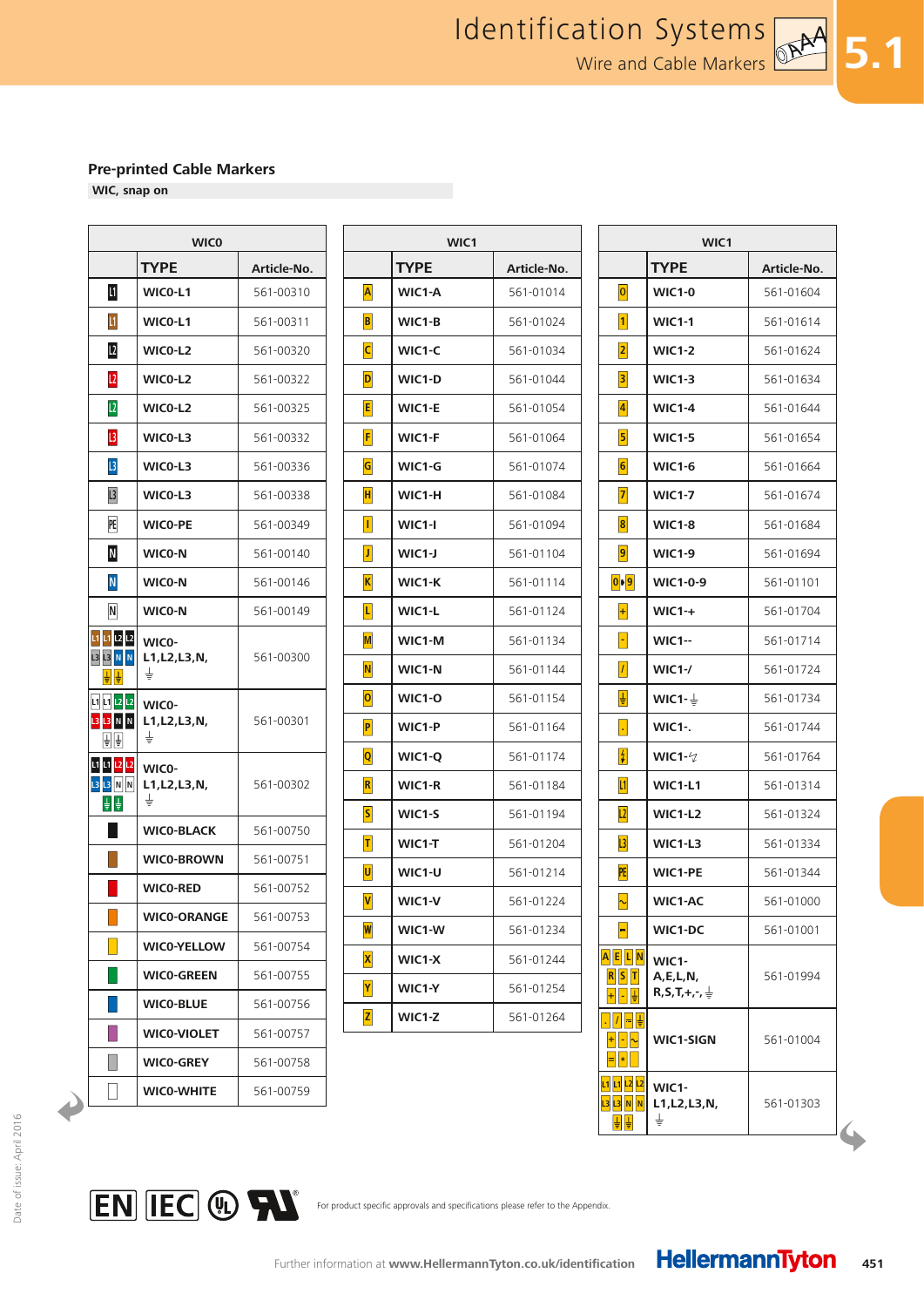**5.1**

#### **Pre-printed Cable Markers**

**WIC, snap on**

| <b>WICO</b>                            |                              |             |  |  |  |
|----------------------------------------|------------------------------|-------------|--|--|--|
|                                        | <b>TYPE</b>                  | Article-No. |  |  |  |
| $\mathbf{I}$                           | WICO-L1                      | 561-00310   |  |  |  |
| $\mathsf{L}1$                          | WICO-L1                      | 561-00311   |  |  |  |
| L2                                     | WICO-L2                      | 561-00320   |  |  |  |
| L2                                     | WICO-L2                      | 561-00322   |  |  |  |
| L2                                     | WICO-L2                      | 561-00325   |  |  |  |
| $\mathsf{L}3$                          | WICO-L3                      | 561-00332   |  |  |  |
| $\overline{L}$                         | WICO-L3                      | 561-00336   |  |  |  |
| L <sub>3</sub>                         | WICO-L3                      | 561-00338   |  |  |  |
| PE                                     | <b>WICO-PE</b>               | 561-00349   |  |  |  |
| N                                      | WICO-N                       | 561-00140   |  |  |  |
| $\overline{\mathsf{N}}$                | WICO-N                       | 561-00146   |  |  |  |
| N                                      | WICO-N                       | 561-00149   |  |  |  |
| L1 L1 L2 L2<br><b>L3 L3 N N</b><br>≑∥≑ | WICO-<br>L1, L2, L3, N,<br>± | 561-00300   |  |  |  |
| 11 11 12 12<br><b>L3 L3 N N</b><br>취취  | WICO-<br>L1, L2, L3, N,<br>₹ | 561-00301   |  |  |  |
| L1 L1 L2 L2<br><b>L3 L3 N</b> N<br>후 후 | WICO-<br>L1, L2, L3, N,<br>± | 561-00302   |  |  |  |
|                                        | <b>WICO-BLACK</b>            | 561-00750   |  |  |  |
|                                        | <b>WICO-BROWN</b>            | 561-00751   |  |  |  |
|                                        | <b>WICO-RED</b>              | 561-00752   |  |  |  |
|                                        | <b>WICO-ORANGE</b>           | 561-00753   |  |  |  |
|                                        | <b>WICO-YELLOW</b>           | 561-00754   |  |  |  |
|                                        | <b>WICO-GREEN</b>            | 561-00755   |  |  |  |
|                                        | <b>WICO-BLUE</b>             | 561-00756   |  |  |  |
|                                        | <b>WICO-VIOLET</b>           | 561-00757   |  |  |  |
|                                        | <b>WICO-GREY</b>             | 561-00758   |  |  |  |
|                                        | WICO-WHITE                   | 561-00759   |  |  |  |

| <b>WICO</b>                     |             |                          | WIC1        |             |                         | WIC1                                        |             |  |
|---------------------------------|-------------|--------------------------|-------------|-------------|-------------------------|---------------------------------------------|-------------|--|
| TYPE                            | Article-No. |                          | <b>TYPE</b> | Article-No. |                         | <b>TYPE</b>                                 | Article-No. |  |
| WICO-L1                         | 561-00310   | $\overline{\mathsf{A}}$  | WIC1-A      | 561-01014   | 0                       | <b>WIC1-0</b>                               | 561-01604   |  |
| WICO-L1                         | 561-00311   | $\vert \mathbf{B} \vert$ | WIC1-B      | 561-01024   | $\vert$ 1               | <b>WIC1-1</b>                               | 561-01614   |  |
| WICO-L2                         | 561-00320   | $\overline{c}$           | WIC1-C      | 561-01034   | $\overline{2}$          | <b>WIC1-2</b>                               | 561-01624   |  |
| WICO-L2                         | 561-00322   | D                        | WIC1-D      | 561-01044   | $\vert$ 3               | <b>WIC1-3</b>                               | 561-01634   |  |
| WICO-L2                         | 561-00325   | $\mathsf{E}$             | WIC1-E      | 561-01054   | $\overline{4}$          | <b>WIC1-4</b>                               | 561-01644   |  |
| WICO-L3                         | 561-00332   | F                        | WIC1-F      | 561-01064   | $\overline{\mathbf{5}}$ | <b>WIC1-5</b>                               | 561-01654   |  |
| WICO-L3                         | 561-00336   | $\overline{\mathsf{G}}$  | WIC1-G      | 561-01074   | $\boxed{6}$             | <b>WIC1-6</b>                               | 561-01664   |  |
| WICO-L3                         | 561-00338   | $\vert H \vert$          | WIC1-H      | 561-01084   | $\overline{7}$          | <b>WIC1-7</b>                               | 561-01674   |  |
| WICO-PE                         | 561-00349   | П                        | WIC1-I      | 561-01094   | $\boldsymbol{8}$        | <b>WIC1-8</b>                               | 561-01684   |  |
| WICO-N                          | 561-00140   | $\vert$ J $\vert$        | $WIC1-J$    | 561-01104   | $\overline{9}$          | <b>WIC1-9</b>                               | 561-01694   |  |
| WICO-N                          | 561-00146   | $\overline{\mathbf{K}}$  | WIC1-K      | 561-01114   | $ 0 $   $ 9 $           | <b>WIC1-0-9</b>                             | 561-01101   |  |
| WICO-N                          | 561-00149   | $\vert$ L $\vert$        | WIC1-L      | 561-01124   | $\left  + \right $      | $WIC1 - +$                                  | 561-01704   |  |
| WICO-                           |             | $\overline{\mathsf{M}}$  | WIC1-M      | 561-01134   | $\blacksquare$          | <b>WIC1--</b>                               | 561-01714   |  |
| L1, L2, L3, N,<br>÷             | 561-00300   | $\overline{\mathsf{N}}$  | WIC1-N      | 561-01144   | $\vert I \vert$         | $WIC1-$                                     | 561-01724   |  |
| WICO-                           |             | $\overline{\mathbf{o}}$  | WIC1-O      | 561-01154   | 빌                       | WIC1- $\frac{1}{2}$                         | 561-01734   |  |
| L1, L2, L3, N,<br>$\frac{1}{2}$ | 561-00301   | $\vert P \vert$          | WIC1-P      | 561-01164   | Ŀ,                      | <b>WIC1-.</b>                               | 561-01744   |  |
| WICO-                           |             | $\overline{\mathsf{Q}}$  | WIC1-Q      | 561-01174   | $\frac{4}{7}$           | WIC1- $\sqrt{2}$                            | 561-01764   |  |
| L1, L2, L3, N,                  | 561-00302   | R                        | WIC1-R      | 561-01184   | $\boxed{11}$            | WIC1-L1                                     | 561-01314   |  |
| ŧ                               |             | $\vert$ S $\vert$        | WIC1-S      | 561-01194   | L2                      | <b>WIC1-L2</b>                              | 561-01324   |  |
| <b>WICO-BLACK</b>               | 561-00750   | $\overline{\mathbf{I}}$  | WIC1-T      | 561-01204   | $\overline{L3}$         | WIC1-L3                                     | 561-01334   |  |
| <b>WICO-BROWN</b>               | 561-00751   | U                        | WIC1-U      | 561-01214   | PE                      | <b>WIC1-PE</b>                              | 561-01344   |  |
| <b>WICO-RED</b>                 | 561-00752   | $\overline{\mathsf{v}}$  | WIC1-V      | 561-01224   | $\sim$                  | <b>WIC1-AC</b>                              | 561-01000   |  |
| <b>WICO-ORANGE</b>              | 561-00753   | W                        | WIC1-W      | 561-01234   | H                       | WIC1-DC                                     | 561-01001   |  |
| <b>WICO-YELLOW</b>              | 561-00754   | $\overline{\mathbf{x}}$  | WIC1-X      | 561-01244   | A E L N                 | WIC1-                                       |             |  |
| <b>WICO-GREEN</b>               | 561-00755   | Y                        | WIC1-Y      | 561-01254   | $R$ $S$ $T$<br>$+  .  $ | A, E, L, N,<br>$R, S, T, +, -, \frac{1}{2}$ | 561-01994   |  |
| <b>WICO-BLUE</b>                | 561-00756   | $\vert z \vert$          | WIC1-Z      | 561-01264   | $ . $ / $ \frac{1}{2}$  |                                             |             |  |
| <b>MICO-MIOLET</b>              | 561-00757   |                          |             |             |                         |                                             |             |  |

| WIC1                      |                                                         |             |  |  |  |
|---------------------------|---------------------------------------------------------|-------------|--|--|--|
|                           | <b>TYPE</b>                                             | Article-No. |  |  |  |
| 0                         | <b>WIC1-0</b>                                           | 561-01604   |  |  |  |
| $\vert$ 1 $\vert$         | <b>WIC1-1</b>                                           | 561-01614   |  |  |  |
| 2                         | <b>WIC1-2</b>                                           | 561-01624   |  |  |  |
| 3                         | <b>WIC1-3</b>                                           | 561-01634   |  |  |  |
| $\vert 4 \vert$           | <b>WIC1-4</b>                                           | 561-01644   |  |  |  |
| 5                         | <b>WIC1-5</b>                                           | 561-01654   |  |  |  |
| 6                         | <b>WIC1-6</b>                                           | 561-01664   |  |  |  |
| 7                         | <b>WIC1-7</b>                                           | 561-01674   |  |  |  |
| $\vert 8 \vert$           | <b>WIC1-8</b>                                           | 561-01684   |  |  |  |
| 9                         | <b>WIC1-9</b>                                           | 561-01694   |  |  |  |
| $\boxed{0}$   $\boxed{9}$ | WIC1-0-9                                                | 561-01101   |  |  |  |
| $\left  + \right $        | <b>WIC1-+</b>                                           | 561-01704   |  |  |  |
| $\overline{\phantom{a}}$  | <b>WIC1--</b>                                           | 561-01714   |  |  |  |
| $\vert I \vert$           | $WIC1-$                                                 | 561-01724   |  |  |  |
| ₩                         | WIC1- $\frac{1}{2}$                                     | 561-01734   |  |  |  |
| $\left  \cdot \right $    | <b>WIC1-.</b>                                           | 561-01744   |  |  |  |
| $\frac{4}{7}$             | WIC1- $\varphi$                                         | 561-01764   |  |  |  |
| 11                        | <b>WIC1-L1</b>                                          | 561-01314   |  |  |  |
| L2                        | <b>WIC1-L2</b>                                          | 561-01324   |  |  |  |
| L3                        | WIC1-L3                                                 | 561-01334   |  |  |  |
| PE                        | <b>WIC1-PE</b>                                          | 561-01344   |  |  |  |
| ∼                         | <b>WIC1-AC</b>                                          | 561-01000   |  |  |  |
| ▬                         | WIC1-DC                                                 | 561-01001   |  |  |  |
| A E L N<br>$R$ $ S $<br>T | WIC1-<br>A, E, L, N,<br>$R, S, T, +, \neg, \frac{1}{2}$ | 561-01994   |  |  |  |
|                           | <b>WIC1-SIGN</b>                                        | 561-01004   |  |  |  |
|                           | WIC1-<br>L1, L2, L3, N,<br>₹                            | 561-01303   |  |  |  |



For product specific approvals and specifications please refer to the Appendix.

 $\overline{\phantom{a}}$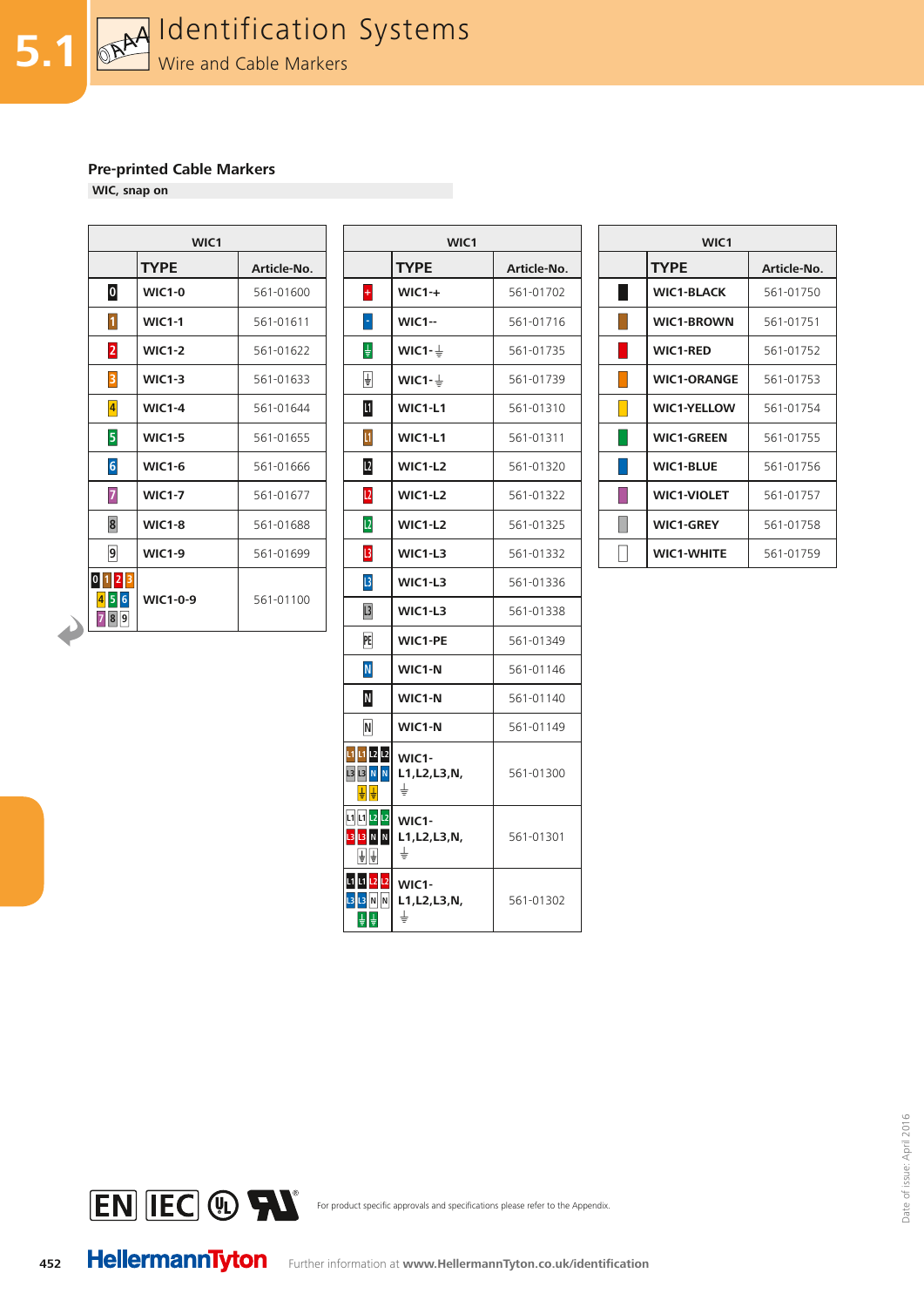**WIC, snap on**

|                                | WIC1            |             |  |  |  |  |  |
|--------------------------------|-----------------|-------------|--|--|--|--|--|
|                                | <b>TYPE</b>     | Article-No. |  |  |  |  |  |
| $\overline{\mathbf{0}}$        | <b>WIC1-0</b>   | 561-01600   |  |  |  |  |  |
| $\vert$ 1 $\vert$              | <b>WIC1-1</b>   | 561-01611   |  |  |  |  |  |
| $\overline{2}$                 | <b>WIC1-2</b>   | 561-01622   |  |  |  |  |  |
| $\overline{\mathbf{3}}$        | <b>WIC1-3</b>   | 561-01633   |  |  |  |  |  |
| $\vert 4 \vert$                | <b>WIC1-4</b>   | 561-01644   |  |  |  |  |  |
| $\overline{5}$                 | <b>WIC1-5</b>   | 561-01655   |  |  |  |  |  |
| $6 \overline{6}$               | <b>WIC1-6</b>   | 561-01666   |  |  |  |  |  |
| $\overline{7}$                 | <b>WIC1-7</b>   | 561-01677   |  |  |  |  |  |
| $\bf{8}$                       | <b>WIC1-8</b>   | 561-01688   |  |  |  |  |  |
| 9                              | <b>WIC1-9</b>   | 561-01699   |  |  |  |  |  |
| 0 1 <br>21<br>6<br>5<br>9<br>8 | <b>WIC1-0-9</b> | 561-01100   |  |  |  |  |  |

| WIC1            |             |                                       | WIC1                                            |             | WIC1 |                    |             |
|-----------------|-------------|---------------------------------------|-------------------------------------------------|-------------|------|--------------------|-------------|
| <b>TYPE</b>     | Article-No. |                                       | <b>TYPE</b>                                     | Article-No. |      | <b>TYPE</b>        | Article-No. |
| <b>WIC1-0</b>   | 561-01600   | $\left  \cdot \right $                | $WIC1 - +$                                      | 561-01702   |      | <b>WIC1-BLACK</b>  | 561-01750   |
| <b>WIC1-1</b>   | 561-01611   | H                                     | <b>WIC1--</b>                                   | 561-01716   |      | <b>WIC1-BROWN</b>  | 561-01751   |
| <b>WIC1-2</b>   | 561-01622   | 葉                                     | WIC1- $\frac{1}{2}$                             | 561-01735   |      | <b>WIC1-RED</b>    | 561-01752   |
| <b>WIC1-3</b>   | 561-01633   | ₽                                     | WIC1- $\frac{1}{2}$                             | 561-01739   |      | <b>WIC1-ORANGE</b> | 561-01753   |
| <b>WIC1-4</b>   | 561-01644   | Ш                                     | WIC1-L1                                         | 561-01310   |      | <b>WIC1-YELLOW</b> | 561-01754   |
| <b>WIC1-5</b>   | 561-01655   | $\mathbf{u}$                          | WIC1-L1                                         | 561-01311   |      | <b>WIC1-GREEN</b>  | 561-01755   |
| <b>WIC1-6</b>   | 561-01666   | $\mathbf{L}$                          | <b>WIC1-L2</b>                                  | 561-01320   |      | <b>WIC1-BLUE</b>   | 561-01756   |
| <b>WIC1-7</b>   | 561-01677   | L <sub>2</sub>                        | $WIC1-L2$                                       | 561-01322   |      | <b>WIC1-VIOLET</b> | 561-01757   |
| <b>WIC1-8</b>   | 561-01688   | L2                                    | WIC1-L2                                         | 561-01325   |      | <b>WIC1-GREY</b>   | 561-01758   |
| <b>WIC1-9</b>   | 561-01699   | 3                                     | WIC1-L3                                         | 561-01332   |      | <b>WIC1-WHITE</b>  | 561-01759   |
|                 |             | $  \mathbf{B}  $                      | WIC1-L3                                         | 561-01336   |      |                    |             |
| <b>WIC1-0-9</b> | 561-01100   | L <sup>3</sup>                        | WIC1-L3                                         | 561-01338   |      |                    |             |
|                 |             | PE                                    | <b>WIC1-PE</b>                                  | 561-01349   |      |                    |             |
|                 |             | ${\sf N}$                             | WIC1-N                                          | 561-01146   |      |                    |             |
|                 |             | $\mathsf N$                           | WIC1-N                                          | 561-01140   |      |                    |             |
|                 |             | $\overline{\mathsf{N}}$               | WIC1-N                                          | 561-01149   |      |                    |             |
|                 |             | L1 <mark>L1</mark> L2 L2<br>13 13 N N | WIC1-<br>L1, L2, L3, N,<br>$\overline{\dagger}$ | 561-01300   |      |                    |             |
|                 |             | <b>L1</b> L1 L2 L2<br>13 13 N N<br>国国 | WIC1-<br>L1, L2, L3, N,<br>$\overline{\dagger}$ | 561-01301   |      |                    |             |
|                 |             | 1111212<br><b>L3</b> N N<br>후 후       | WIC1-<br>L1, L2, L3, N,<br>$\overline{\dagger}$ | 561-01302   |      |                    |             |

|                        | WIC <sub>1</sub>   |             |  |  |  |  |
|------------------------|--------------------|-------------|--|--|--|--|
|                        | <b>TYPE</b>        | Article-No. |  |  |  |  |
| <b>Service Service</b> | <b>WIC1-BLACK</b>  | 561-01750   |  |  |  |  |
|                        | <b>WIC1-BROWN</b>  | 561-01751   |  |  |  |  |
|                        | <b>WIC1-RED</b>    | 561-01752   |  |  |  |  |
|                        | <b>WIC1-ORANGE</b> | 561-01753   |  |  |  |  |
|                        | <b>WIC1-YELLOW</b> | 561-01754   |  |  |  |  |
|                        | <b>WIC1-GREEN</b>  | 561-01755   |  |  |  |  |
|                        | <b>WIC1-BLUE</b>   | 561-01756   |  |  |  |  |
|                        | <b>WIC1-VIOLET</b> | 561-01757   |  |  |  |  |
|                        | <b>WIC1-GREY</b>   | 561-01758   |  |  |  |  |
|                        | <b>WIC1-WHITE</b>  | 561-01759   |  |  |  |  |



For product specific approvals and specifications please refer to the Appendix.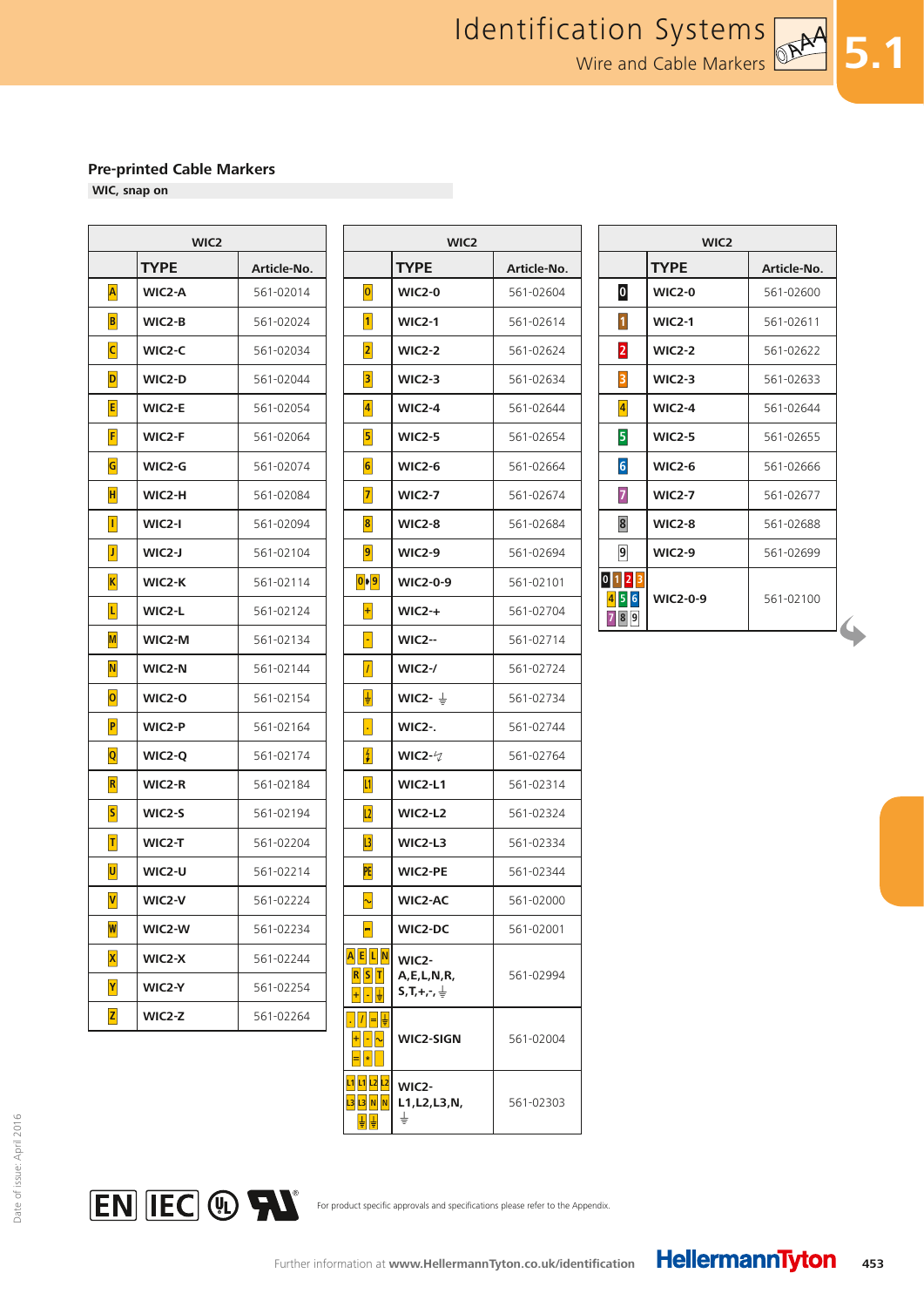$\Gamma$ 

**WIC, snap on**

Г

| <b>TYPE</b><br>Article-No.<br>A<br>WIC2-A<br>561-02014 |  |
|--------------------------------------------------------|--|
|                                                        |  |
|                                                        |  |
| $\vert$ B<br>WIC2-B<br>561-02024                       |  |
| $\overline{\mathsf{C}}$<br>WIC2-C<br>561-02034         |  |
| D<br>WIC2-D<br>561-02044                               |  |
| E<br>WIC2-E<br>561-02054                               |  |
| F<br>WIC2-F<br>561-02064                               |  |
| G<br>561-02074<br>WIC2-G                               |  |
| H<br>WIC2-H<br>561-02084                               |  |
| $\vert \vert$<br>WIC2-I<br>561-02094                   |  |
| $ \mathbf{J} $<br>WIC2-J<br>561-02104                  |  |
| $\vert K \vert$<br>WIC2-K<br>561-02114                 |  |
| L<br>WIC2-L<br>561-02124                               |  |
| WIC2-M<br>561-02134<br>M                               |  |
| $\overline{\mathsf{N}}$<br>WIC2-N<br>561-02144         |  |
| $\overline{\mathbf{o}}$<br><b>WIC2-0</b><br>561-02154  |  |
| $\overline{\mathsf{P}}$<br>WIC2-P<br>561-02164         |  |
| $ {\bf Q} $<br>561-02174<br>WIC2-Q                     |  |
| $\vert \mathsf{R} \vert$<br>WIC2-R<br>561-02184        |  |
| $\vert S \vert$<br>WIC2-S<br>561-02194                 |  |
| $\vert T \vert$<br>WIC2-T<br>561-02204                 |  |
| U<br>WIC2-U<br>561-02214                               |  |
| $\mathsf{V}$<br>WIC2-V<br>561-02224                    |  |
| $\boldsymbol{\mathsf{w}}$<br>WIC2-W<br>561-02234       |  |
| $\vert\mathsf{X}\vert$<br>561-02244<br>WIC2-X          |  |
| Y<br>WIC2-Y<br>561-02254                               |  |
| $\mathsf{z}$<br>WIC2-Z<br>561-02264                    |  |

| WIC <sub>2</sub> |             |                           | WIC <sub>2</sub>                                |             | WIC <sub>2</sub>        |                 |             |
|------------------|-------------|---------------------------|-------------------------------------------------|-------------|-------------------------|-----------------|-------------|
| <b>TYPE</b>      | Article-No. |                           | <b>TYPE</b>                                     | Article-No. |                         | <b>TYPE</b>     | Article-No. |
| WIC2-A           | 561-02014   | $\boxed{\mathbf{0}}$      | <b>WIC2-0</b>                                   | 561-02604   | $\boldsymbol{0}$        | <b>WIC2-0</b>   | 561-02600   |
| WIC2-B           | 561-02024   | $\vert$ 1                 | <b>WIC2-1</b>                                   | 561-02614   | $\vert$ 1               | <b>WIC2-1</b>   | 561-02611   |
| WIC2-C           | 561-02034   | 2                         | <b>WIC2-2</b>                                   | 561-02624   | $\overline{\mathbf{2}}$ | <b>WIC2-2</b>   | 561-02622   |
| WIC2-D           | 561-02044   | $\vert$ 3                 | <b>WIC2-3</b>                                   | 561-02634   | $\vert$ 3               | <b>WIC2-3</b>   | 561-02633   |
| WIC2-E           | 561-02054   | $\vert 4 \vert$           | <b>WIC2-4</b>                                   | 561-02644   | $\vert 4 \vert$         | <b>WIC2-4</b>   | 561-02644   |
| WIC2-F           | 561-02064   | $\vert$ 5                 | <b>WIC2-5</b>                                   | 561-02654   | 5                       | <b>WIC2-5</b>   | 561-02655   |
| WIC2-G           | 561-02074   | $\vert 6 \vert$           | <b>WIC2-6</b>                                   | 561-02664   | $6\overline{6}$         | <b>WIC2-6</b>   | 561-02666   |
| WIC2-H           | 561-02084   | 7                         | <b>WIC2-7</b>                                   | 561-02674   | 7                       | <b>WIC2-7</b>   | 561-02677   |
| WIC2-I           | 561-02094   | $\vert 8 \vert$           | <b>WIC2-8</b>                                   | 561-02684   | 8                       | <b>WIC2-8</b>   | 561-02688   |
| WIC2-J           | 561-02104   | $\boxed{9}$               | <b>WIC2-9</b>                                   | 561-02694   | $\overline{9}$          | <b>WIC2-9</b>   | 561-02699   |
| WIC2-K           | 561-02114   | $\boxed{0}$   $\boxed{9}$ | <b>WIC2-0-9</b>                                 | 561-02101   | $0$ 1 2 3               |                 |             |
| WIC2-L           | 561-02124   | $\left  + \right $        | $WIC2-+$                                        | 561-02704   | 456<br>789              | <b>WIC2-0-9</b> | 561-02100   |
| WIC2-M           | 561-02134   | H                         | <b>WIC2--</b>                                   | 561-02714   |                         |                 |             |
| WIC2-N           | 561-02144   | $\vert I \vert$           | <b>WIC2-/</b>                                   | 561-02724   |                         |                 |             |
| WIC2-O           | 561-02154   | 냏                         | WIC2- $\frac{1}{2}$                             | 561-02734   |                         |                 |             |
| WIC2-P           | 561-02164   | $\vert \cdot \vert$       | <b>WIC2-.</b>                                   | 561-02744   |                         |                 |             |
| WIC2-Q           | 561-02174   | 4                         | WIC2- $\sqrt{2}$                                | 561-02764   |                         |                 |             |
| WIC2-R           | 561-02184   | L1                        | WIC2-L1                                         | 561-02314   |                         |                 |             |
| WIC2-S           | 561-02194   | L2                        | WIC2-L2                                         | 561-02324   |                         |                 |             |
| WIC2-T           | 561-02204   | $  \cdot  $               | WIC2-L3                                         | 561-02334   |                         |                 |             |
| WIC2-U           | 561-02214   | PE                        | <b>WIC2-PE</b>                                  | 561-02344   |                         |                 |             |
| WIC2-V           | 561-02224   | $\sim$                    | <b>WIC2-AC</b>                                  | 561-02000   |                         |                 |             |
| WIC2-W           | 561-02234   | ╘                         | WIC2-DC                                         | 561-02001   |                         |                 |             |
| WIC2-X           | 561-02244   | A E L N                   | WIC2-                                           |             |                         |                 |             |
| WIC2-Y           | 561-02254   | $R$ $S$ $T$               | A, E, L, N, R,<br>$S, T, +, \cdot, \frac{1}{2}$ | 561-02994   |                         |                 |             |
| WIC2-Z           | 561-02264   | <u>.  /  = 블</u>          |                                                 | 561-02004   |                         |                 |             |
|                  |             | $+ - \sim$                | WIC2-SIGN                                       |             |                         |                 |             |
|                  |             | L1 L1 L2 L2<br>발달         | WIC <sub>2</sub> -<br>L1, L2, L3, N,<br>≑       | 561-02303   |                         |                 |             |

| WIC <sub>2</sub>        |               |             |  |  |
|-------------------------|---------------|-------------|--|--|
|                         | <b>TYPE</b>   | Article-No. |  |  |
| $\overline{\mathbf{0}}$ | <b>WIC2-0</b> | 561-02600   |  |  |
| $\mathbf{1}$            | <b>WIC2-1</b> | 561-02611   |  |  |
| $\overline{2}$          | <b>WIC2-2</b> | 561-02622   |  |  |
| 3                       | $WIC2-3$      | 561-02633   |  |  |
| $\vert 4 \vert$         | <b>WIC2-4</b> | 561-02644   |  |  |
| 5                       | <b>WIC2-5</b> | 561-02655   |  |  |
| $6\phantom{a}$          | <b>WIC2-6</b> | 561-02666   |  |  |
| $\overline{7}$          | <b>WIC2-7</b> | 561-02677   |  |  |
| 8                       | <b>WIC2-8</b> | 561-02688   |  |  |
| $\overline{9}$          | <b>WIC2-9</b> | 561-02699   |  |  |
| 0                       | WIC2-0-9      | 561-02100   |  |  |

**5.1**



For product specific approvals and specifications please refer to the Appendix.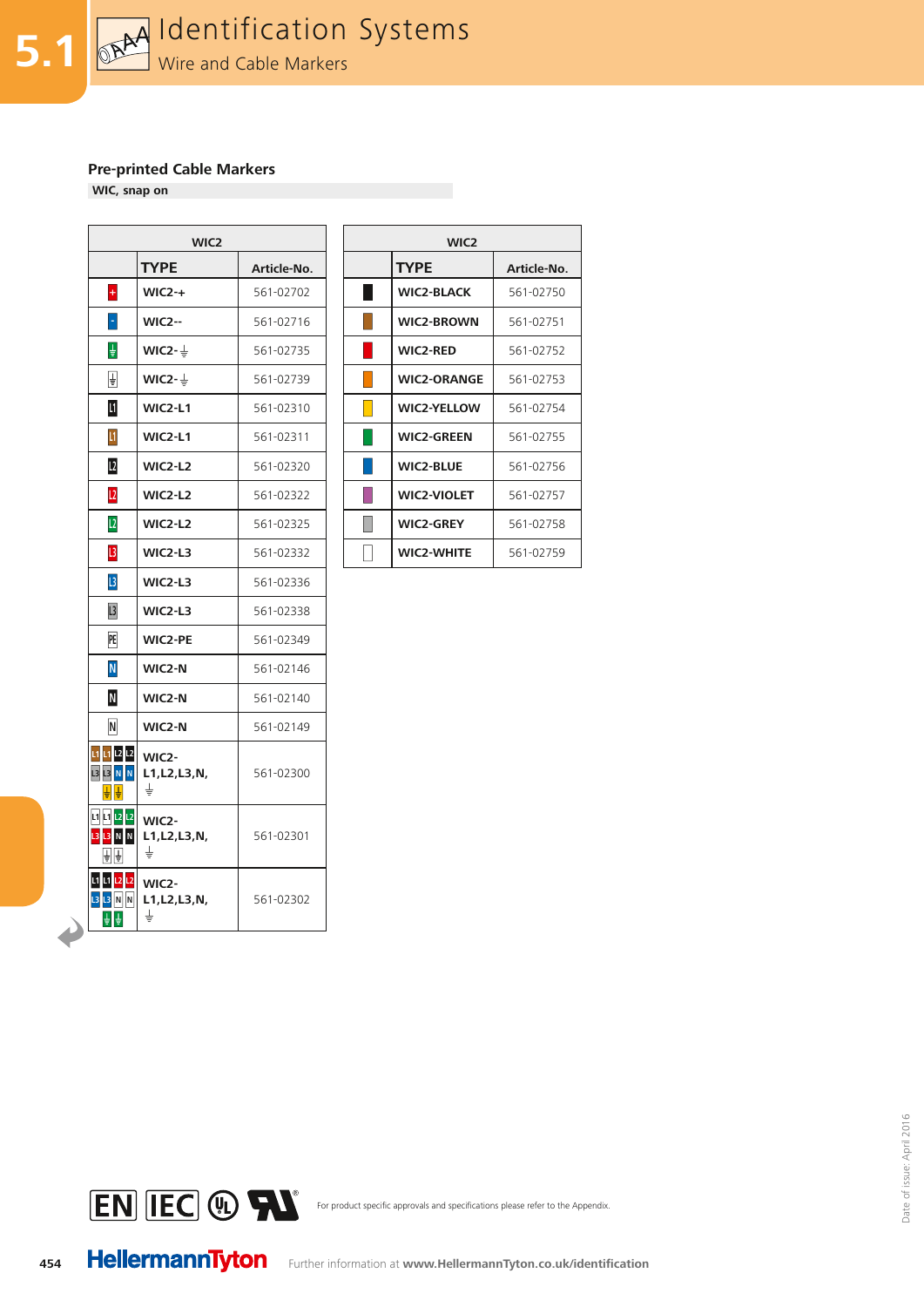

**WIC, snap on**

| WIC2                                        |                              |             |  |  |
|---------------------------------------------|------------------------------|-------------|--|--|
|                                             | <b>TYPE</b>                  | Article-No. |  |  |
| $\ddot{\phantom{1}}$                        | $WIC2-+$                     | 561-02702   |  |  |
| F                                           | <b>WIC2--</b>                | 561-02716   |  |  |
| ŧ                                           | WIC2- $\frac{1}{2}$          | 561-02735   |  |  |
| $\overline{\dagger}$                        | WIC2- $\frac{1}{2}$          | 561-02739   |  |  |
| Ш                                           | $WIC2-L1$                    | 561-02310   |  |  |
| $\mathbf{I}$                                | <b>WIC2-L1</b>               | 561-02311   |  |  |
| L <sub>2</sub>                              | WIC2-L2                      | 561-02320   |  |  |
| L <sub>2</sub>                              | <b>WIC2-L2</b>               | 561-02322   |  |  |
| L <sub>2</sub>                              | <b>WIC2-L2</b>               | 561-02325   |  |  |
| $\mathsf{L}3$                               | WIC2-L3                      | 561-02332   |  |  |
| $\overline{L}$                              | WIC2-L3                      | 561-02336   |  |  |
| L <sub>3</sub>                              | WIC2-L3                      | 561-02338   |  |  |
| PE                                          | <b>WIC2-PE</b>               | 561-02349   |  |  |
| ${\bf N}$                                   | WIC2-N                       | 561-02146   |  |  |
| N                                           | WIC2-N                       | 561-02140   |  |  |
| N                                           | WIC2-N                       | 561-02149   |  |  |
| L1 L1 L2 L2<br><b>L3 L3 N N</b>             | WIC2-<br>L1, L2, L3, N,<br>∔ | 561-02300   |  |  |
| L1 L1 L2 L2<br>Ŀз<br><b>N</b><br>N<br>취1    | WIC2-<br>L1, L2, L3, N,<br>╧ | 561-02301   |  |  |
| L1 L1 <mark>L2</mark> L2<br>L3<br>N<br>13 N | WIC2-<br>L1, L2, L3, N,<br>╧ | 561-02302   |  |  |

| WIC <sub>2</sub>    |             |  | WIC <sub>2</sub>   |             |
|---------------------|-------------|--|--------------------|-------------|
| <b>TYPE</b>         | Article-No. |  | <b>TYPE</b>        | Article-No. |
| $WIC2-+$            | 561-02702   |  | <b>WIC2-BLACK</b>  | 561-02750   |
| $WIC2 -$            | 561-02716   |  | <b>WIC2-BROWN</b>  | 561-02751   |
| WIC2- $\frac{1}{2}$ | 561-02735   |  | <b>WIC2-RED</b>    | 561-02752   |
| WIC2- $\frac{1}{2}$ | 561-02739   |  | <b>WIC2-ORANGE</b> | 561-02753   |
| WIC2-L1             | 561-02310   |  | <b>WIC2-YELLOW</b> | 561-02754   |
| WIC2-L1             | 561-02311   |  | <b>WIC2-GREEN</b>  | 561-02755   |
| <b>WIC2-L2</b>      | 561-02320   |  | <b>WIC2-BLUE</b>   | 561-02756   |
| <b>WIC2-L2</b>      | 561-02322   |  | <b>WIC2-VIOLET</b> | 561-02757   |
| $WIC2-L2$           | 561-02325   |  | <b>WIC2-GREY</b>   | 561-02758   |
| $WIC2-L3$           | 561-02332   |  | <b>WIC2-WHITE</b>  | 561-02759   |





For product specific approvals and specifications please refer to the Appendix.

**454**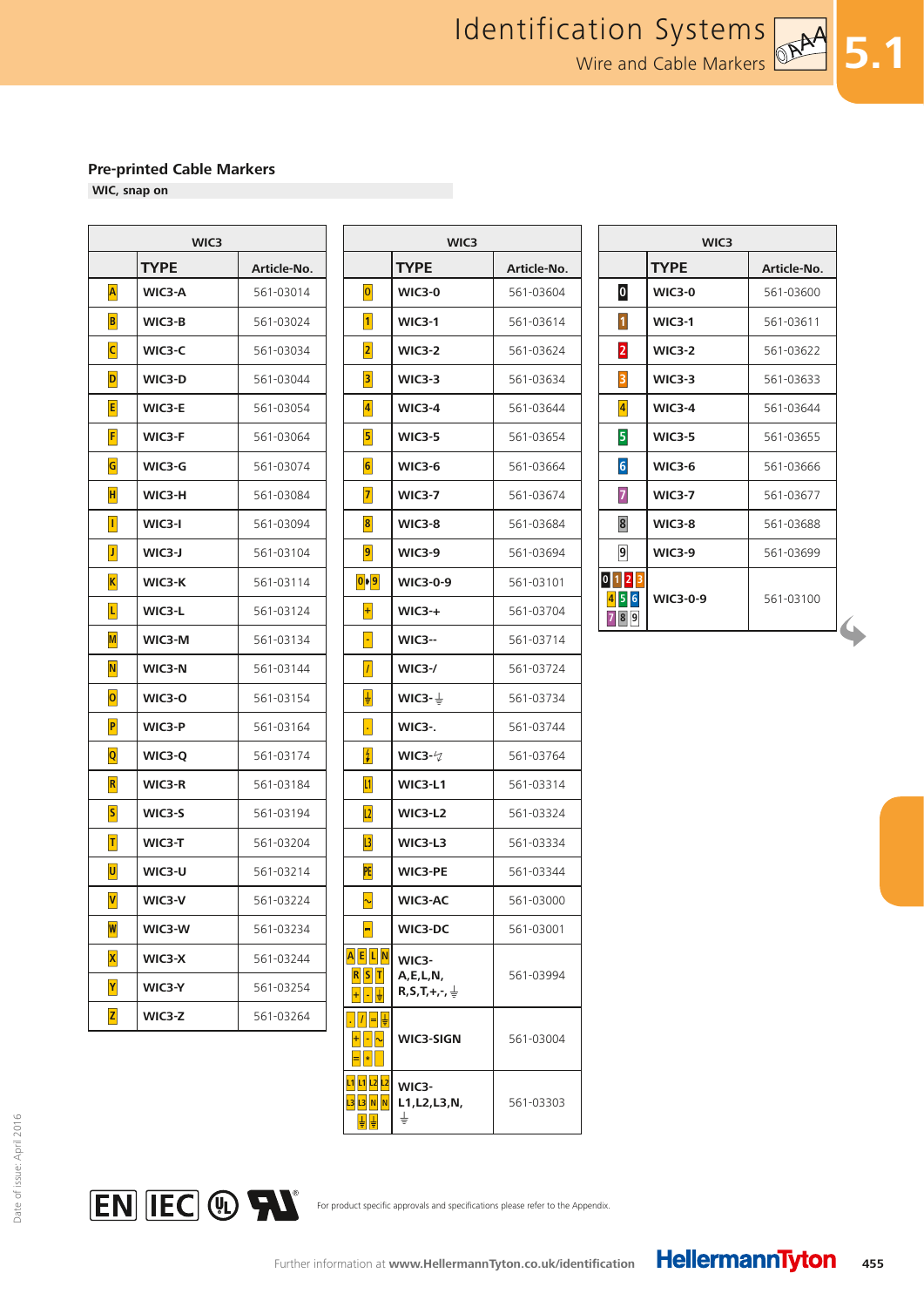$\Gamma$ 

**WIC, snap on**

Г

|                           | WIC3        |             |  |  |
|---------------------------|-------------|-------------|--|--|
|                           | <b>TYPE</b> | Article-No. |  |  |
| A                         | WIC3-A      | 561-03014   |  |  |
| $\vert$ B                 | WIC3-B      | 561-03024   |  |  |
| $\overline{\mathsf{C}}$   | WIC3-C      | 561-03034   |  |  |
| D                         | WIC3-D      | 561-03044   |  |  |
| E                         | WIC3-E      | 561-03054   |  |  |
| F                         | WIC3-F      | 561-03064   |  |  |
| G                         | WIC3-G      | 561-03074   |  |  |
| H                         | WIC3-H      | 561-03084   |  |  |
| $\vert \vert$             | WIC3-I      | 561-03094   |  |  |
| $ \mathbf{J} $            | WIC3-J      | 561-03104   |  |  |
| $ {\bf K} $               | WIC3-K      | 561-03114   |  |  |
| L                         | WIC3-L      | 561-03124   |  |  |
| M                         | WIC3-M      | 561-03134   |  |  |
| $\mathbf N$               | WIC3-N      | 561-03144   |  |  |
| 0                         | WIC3-O      | 561-03154   |  |  |
| $\overline{\mathsf{P}}$   | WIC3-P      | 561-03164   |  |  |
| $ {\bf Q} $               | WIC3-Q      | 561-03174   |  |  |
| $\vert \mathsf{R} \vert$  | WIC3-R      | 561-03184   |  |  |
| $ \mathsf{S} $            | WIC3-S      | 561-03194   |  |  |
| $\vert T \vert$           | WIC3-T      | 561-03204   |  |  |
| U                         | WIC3-U      | 561-03214   |  |  |
| $\mathsf{V}$              | WIC3-V      | 561-03224   |  |  |
| $\boldsymbol{\mathsf{w}}$ | WIC3-W      | 561-03234   |  |  |
| $\vert\mathsf{X}\vert$    | WIC3-X      | 561-03244   |  |  |
| Y                         | WIC3-Y      | 561-03254   |  |  |
| $\mathsf{z}$              | WIC3-Z      | 561-03264   |  |  |

|        | WIC3        |                                       | WIC3                                           |             |                         | WIC3            |             |  |  |
|--------|-------------|---------------------------------------|------------------------------------------------|-------------|-------------------------|-----------------|-------------|--|--|
| TYPE   | Article-No. |                                       | <b>TYPE</b>                                    | Article-No. |                         | <b>TYPE</b>     | Article-No. |  |  |
| WIC3-A | 561-03014   | $\boxed{\mathbf{0}}$                  | <b>WIC3-0</b>                                  | 561-03604   | $\boldsymbol{0}$        | <b>WIC3-0</b>   | 561-03600   |  |  |
| WIC3-B | 561-03024   | $\vert$ 1                             | <b>WIC3-1</b>                                  | 561-03614   | $\vert$ 1               | <b>WIC3-1</b>   | 561-03611   |  |  |
| WIC3-C | 561-03034   | 2                                     | <b>WIC3-2</b>                                  | 561-03624   | $\overline{\mathbf{2}}$ | <b>WIC3-2</b>   | 561-03622   |  |  |
| WIC3-D | 561-03044   | $\vert$ 3                             | <b>WIC3-3</b>                                  | 561-03634   | $\overline{\mathbf{3}}$ | <b>WIC3-3</b>   | 561-03633   |  |  |
| WIC3-E | 561-03054   | $\vert 4 \vert$                       | <b>WIC3-4</b>                                  | 561-03644   | $\vert 4 \vert$         | <b>WIC3-4</b>   | 561-03644   |  |  |
| WIC3-F | 561-03064   | $\vert$ 5                             | <b>WIC3-5</b>                                  | 561-03654   | 5                       | <b>WIC3-5</b>   | 561-03655   |  |  |
| WIC3-G | 561-03074   | $\vert 6 \vert$                       | <b>WIC3-6</b>                                  | 561-03664   | $6\overline{6}$         | <b>WIC3-6</b>   | 561-03666   |  |  |
| WIC3-H | 561-03084   | 7                                     | <b>WIC3-7</b>                                  | 561-03674   | $\overline{z}$          | <b>WIC3-7</b>   | 561-03677   |  |  |
| WIC3-I | 561-03094   | $\vert 8 \vert$                       | <b>WIC3-8</b>                                  | 561-03684   | 8                       | <b>WIC3-8</b>   | 561-03688   |  |  |
| WIC3-J | 561-03104   | 9                                     | <b>WIC3-9</b>                                  | 561-03694   | $\overline{9}$          | <b>WIC3-9</b>   | 561-03699   |  |  |
| WIC3-K | 561-03114   | $\boxed{0}$   $\boxed{9}$             | <b>WIC3-0-9</b>                                | 561-03101   | $0$ 1 2 3               |                 |             |  |  |
| WIC3-L | 561-03124   | $\left  + \right $                    | $WIC3-+$                                       | 561-03704   | 456<br>789              | <b>WIC3-0-9</b> | 561-03100   |  |  |
| WIC3-M | 561-03134   | H                                     | <b>WIC3--</b>                                  | 561-03714   |                         |                 |             |  |  |
| WIC3-N | 561-03144   | $\vert I \vert$                       | $WIC3-$ /                                      | 561-03724   |                         |                 |             |  |  |
| WIC3-O | 561-03154   | 냏                                     | WIC3- $\frac{1}{2}$                            | 561-03734   |                         |                 |             |  |  |
| WIC3-P | 561-03164   | $\vert \cdot \vert$                   | <b>WIC3-.</b>                                  | 561-03744   |                         |                 |             |  |  |
| WIC3-Q | 561-03174   | 4                                     | WIC3- $\varphi$                                | 561-03764   |                         |                 |             |  |  |
| WIC3-R | 561-03184   | L1                                    | WIC3-L1                                        | 561-03314   |                         |                 |             |  |  |
| WIC3-S | 561-03194   | L2                                    | WIC3-L2                                        | 561-03324   |                         |                 |             |  |  |
| WIC3-T | 561-03204   | $  \cdot  $                           | WIC3-L3                                        | 561-03334   |                         |                 |             |  |  |
| WIC3-U | 561-03214   | PE                                    | <b>WIC3-PE</b>                                 | 561-03344   |                         |                 |             |  |  |
| WIC3-V | 561-03224   | $\sim$                                | WIC3-AC                                        | 561-03000   |                         |                 |             |  |  |
| WIC3-W | 561-03234   | ╘                                     | <b>WIC3-DC</b>                                 | 561-03001   |                         |                 |             |  |  |
| WIC3-X | 561-03244   | A E L N                               | WIC3-                                          |             |                         |                 |             |  |  |
| WIC3-Y | 561-03254   | $R$ $S$ $T$                           | A, E, L, N,<br>$R, S, T, +, -$ , $\frac{1}{2}$ | 561-03994   |                         |                 |             |  |  |
| WIC3-Z | 561-03264   | <u>.   /   =   す</u>                  |                                                |             |                         |                 |             |  |  |
|        |             | $+ - \sim$<br>$=$ $ * $               | WIC3-SIGN                                      | 561-03004   |                         |                 |             |  |  |
|        |             | L1 L1 L2 L2<br><b>L3 I3 N N</b><br>불붙 | WIC3-<br>L1, L2, L3, N,<br>≑                   | 561-03303   |                         |                 |             |  |  |

| WIC3            |               |             |  |  |
|-----------------|---------------|-------------|--|--|
|                 | <b>TYPE</b>   | Article-No. |  |  |
| $\mathbf 0$     | <b>WIC3-0</b> | 561-03600   |  |  |
| $\vert$ 1       | <b>WIC3-1</b> | 561-03611   |  |  |
| $\overline{2}$  | <b>WIC3-2</b> | 561-03622   |  |  |
| 3               | $WIC3-3$      | 561-03633   |  |  |
| $\vert 4 \vert$ | $WIC3-4$      | 561-03644   |  |  |
| 5               | <b>WIC3-5</b> | 561-03655   |  |  |
| $6\overline{6}$ | <b>WIC3-6</b> | 561-03666   |  |  |
| $\overline{7}$  | <b>WIC3-7</b> | 561-03677   |  |  |
| 8               | <b>WIC3-8</b> | 561-03688   |  |  |
| $\overline{9}$  | <b>WIC3-9</b> | 561-03699   |  |  |
| $\bf{0}$<br>21  | WIC3-0-9      | 561-03100   |  |  |

**5.1**



For product specific approvals and specifications please refer to the Appendix.

**455**